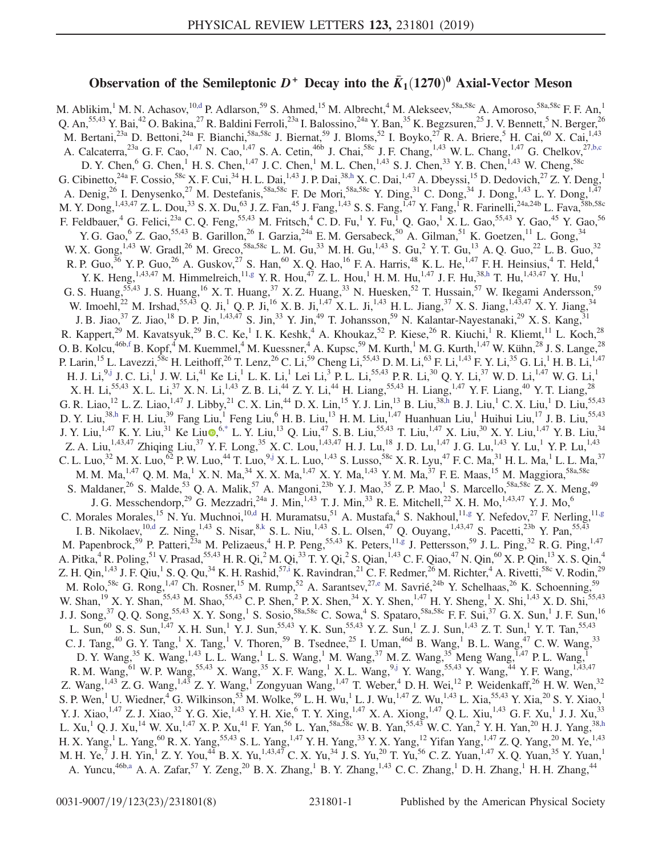## Observation of the Semileptonic  $D^+$  Decay into the  $\bar{K}_1(1270)^0$  Axial-Vector Meson

<span id="page-0-9"></span><span id="page-0-8"></span><span id="page-0-7"></span><span id="page-0-6"></span><span id="page-0-5"></span><span id="page-0-4"></span><span id="page-0-3"></span><span id="page-0-2"></span><span id="page-0-1"></span><span id="page-0-0"></span>M. Ablikim,<sup>1</sup> M. N. Achasov,<sup>10[,d](#page-6-0)</sup> P. Adlarson,<sup>59</sup> S. Ahmed,<sup>15</sup> M. Albrecht,<sup>4</sup> M. Alekseev,<sup>58a,58c</sup> A. Amoroso,<sup>58a,58c</sup> F. F. An,<sup>1</sup> Q. An,<sup>55,43</sup> Y. Bai,<sup>42</sup> O. Bakina,<sup>27</sup> R. Baldini Ferroli,<sup>23a</sup> I. Balossino,<sup>24a</sup> Y. Ban,<sup>35</sup> K. Begzsuren,<sup>25</sup> J. V. Bennett,<sup>5</sup> N. Berger,<sup>26</sup> M. Bertani,  $^{23a}$  D. Bettoni,  $^{24a}$  F. Bianchi,  $^{58a,58c}$  J. Biernat,  $^{59}$  J. Bloms,  $^{52}$  I. Boyko,  $^{27}$  R. A. Briere,  $^{5}$  H. Cai,  $^{60}$  X. Cai,  $^{1,43}$ A. Calcaterra,  $^{23a}$  G. F. Cao,  $^{1,47}$  N. Cao,  $^{1,47}$  S. A. Cetin,  $^{46b}$  J. Chai,  $^{58c}$  J. F. Chang,  $^{1,43}$  W. L. Chang,  $^{1,47}$  G. Chelkov,  $^{27,b,c}$  $^{27,b,c}$  $^{27,b,c}$ D. Y. Chen,  $^{6}$  G. Chen,  $^{1}$  H. S. Chen,  $^{1,47}$  J. C. Chen,  $^{1}$  M. L. Chen,  $^{1,43}$  S. J. Chen,  $^{33}$  Y. B. Chen,  $^{1,43}$  W. Cheng,  $^{58c}$ G. Cibinetto,<sup>24a</sup> F. Cossio,<sup>58c</sup> X. F. Cui,<sup>34</sup> H. L. Dai,<sup>1,43</sup> J. P. Dai,<sup>3[8,h](#page-6-2)</sup> X. C. Dai,<sup>1,47</sup> A. Dbeyssi,<sup>15</sup> D. Dedovich,<sup>27</sup> Z. Y. Deng,<sup>1</sup> A. Denig,<sup>26</sup> I. Denysenko,<sup>27</sup> M. Destefanis,<sup>58a,58c</sup> F. De Mori,<sup>58a,58c</sup> Y. Ding,<sup>31</sup> C. Dong,<sup>34</sup> J. Dong,<sup>1,43</sup> L. Y. Dong,<sup>1,47</sup> M. Y. Dong, <sup>1,43,47</sup> Z. L. Dou,<sup>33</sup> S. X. Du,<sup>63</sup> J. Z. Fan,<sup>45</sup> J. Fang, <sup>1,43</sup> S. S. Fang, <sup>1,47</sup> Y. Fang, <sup>1</sup> R. Farinelli, <sup>24a,24b</sup> L. Fava, <sup>58b,58c</sup> F. Feldbauer, <sup>4</sup> G. Felici,<sup>23a</sup> C. Q. Feng,<sup>55,43</sup> M. Fritsch, <sup>4</sup> C. D. Fu, <sup>1</sup> Y. Fu, <sup>1</sup> Q. Gao, <sup>1</sup> X. L. Gao,<sup>55,43</sup> Y. Gao, <sup>45</sup> Y. Gao, 56 Y. G. Gao, <sup>6</sup> Z. Gao, <sup>55,43</sup> B. Garillon, <sup>26</sup> I. Garzia, <sup>24a</sup> E. M. Gersabeck, <sup>50</sup> A. Gilman, <sup>51</sup> K. Goetzen, <sup>11</sup> L. Gong, <sup>34</sup> W. X. Gong,  $^{1,43}$  W. Gradl,  $^{26}$  M. Greco,  $^{58a,58c}$  L. M. Gu,  $^{33}$  M. H. Gu,  $^{1,43}$  S. Gu,  $^2$  Y. T. Gu,  $^{13}$  A. Q. Guo,  $^{22}$  L. B. Guo,  $^{32}$ R. P. Guo,<sup>36</sup> Y. P. Guo,<sup>26</sup> A. Guskov,<sup>27</sup> S. Han,<sup>60</sup> X. Q. Hao,<sup>16</sup> F. A. Harris,<sup>48</sup> K. L. He,<sup>1,47</sup> F. H. Heinsius,<sup>4</sup> T. Held,<sup>4</sup> Y. K. Heng,  $^{1,43,47}$  M. Himmelreich,  $^{11, g}$  Y. R. Hou,  $^{47}$  Z. L. Hou,  $^{1}$  H. M. Hu,  $^{1,47}$  J. F. Hu,  $^{38, h}$  T. Hu,  $^{1,43,47}$  Y. Hu,  $^{1}$ G. S. Huang,<sup>55,43</sup> J. S. Huang,<sup>16</sup> X. T. Huang,<sup>37</sup> X. Z. Huang,<sup>33</sup> N. Huesken,<sup>52</sup> T. Hussain,<sup>57</sup> W. Ikegami Andersson,<sup>59</sup> W. Imoehl,<sup>22</sup> M. Irshad,<sup>55,43</sup> Q. Ji,<sup>1</sup> Q. P. Ji,<sup>16</sup> X. B. Ji,<sup>1,47</sup> X. L. Ji,<sup>1,43</sup> H. L. Jiang,<sup>37</sup> X. S. Jiang,<sup>1,43,47</sup> X. Y. Jiang,<sup>34</sup> J. B. Jiao,<sup>37</sup> Z. Jiao,<sup>18</sup> D. P. Jin,<sup>1,43,47</sup> S. Jin,<sup>33</sup> Y. Jin,<sup>49</sup> T. Johansson,<sup>59</sup> N. Kalantar-Nayestanaki,<sup>29</sup> X. S. Kang,<sup>31</sup> R. Kappert,<sup>29</sup> M. Kavatsyuk,<sup>29</sup> B. C. Ke,<sup>1</sup> I. K. Keshk,<sup>4</sup> A. Khoukaz,<sup>52</sup> P. Kiese,<sup>26</sup> R. Kiuchi,<sup>1</sup> R. Kliemt,<sup>11</sup> L. Koch,<sup>28</sup> O. B. Kolcu, $^{46b,f}$  $^{46b,f}$  $^{46b,f}$  B. Kopf, $^4$  M. Kuemmel, $^4$  M. Kuessner, $^4$  A. Kupsc, $^{59}$  M. Kurth, $^1$  M. G. Kurth, $^{1,47}$  W. Kühn, $^{28}$  J. S. Lange, $^{28}$ P. Larin,<sup>15</sup> L. Lavezzi,<sup>58c</sup> H. Leithoff,<sup>26</sup> T. Lenz,<sup>26</sup> C. Li,<sup>59</sup> Cheng Li,<sup>55,43</sup> D. M. Li,<sup>63</sup> F. Li,<sup>1,43</sup> F. Y. Li,<sup>35</sup> G. Li,<sup>1</sup> H. B. Li,<sup>1,47</sup> H. J. Li, $^{9, j}$  J. C. Li, $^{1}$  J. W. Li, $^{41}$  Ke Li, $^{1}$  L. K. Li, $^{1}$  Lei Li, $^{3}$  P. L. Li, $^{55, 43}$  P. R. Li, $^{30}$  Q. Y. Li, $^{37}$  W. D. Li, $^{1, 47}$  W. G. Li, $^{1}$ X. H. Li,<sup>55,43</sup> X. L. Li,<sup>37</sup> X. N. Li,<sup>1,43</sup> Z. B. Li,<sup>44</sup> Z. Y. Li,<sup>44</sup> H. Liang,<sup>55,43</sup> H. Liang,<sup>1,47</sup> Y. F. Liang,<sup>40</sup> Y. T. Liang,<sup>28</sup> G. R. Liao,  $^{12}$  L. Z. Liao,  $^{1,47}$  J. Libby,  $^{21}$  C. X. Lin,  $^{44}$  D. X. Lin,  $^{15}$  Y. J. Lin,  $^{13}$  B. Liu,  $^{38,h}$  $^{38,h}$  $^{38,h}$  B. J. Liu,  $^{1}$  C. X. Liu,  $^{1}$  D. Liu,  $^{55,43}$ D. Y. Liu,<sup>3[8,h](#page-6-2)</sup> F. H. Liu,<sup>39</sup> Fang Liu,<sup>1</sup> Feng Liu,<sup>6</sup> H. B. Liu,<sup>13</sup> H. M. Liu,<sup>1,47</sup> Huanhuan Liu,<sup>1</sup> Huihui Liu,<sup>17</sup> J. B. Liu,<sup>55,43</sup> J. Y. Liu,<sup>1,47</sup> K. Y. Liu,<sup>31</sup> Ke Liu $\bullet^{6,*}$  $\bullet^{6,*}$  $\bullet^{6,*}$  L. Y. Liu,<sup>13</sup> Q. Liu,<sup>47</sup> S. B. Liu,<sup>55,43</sup> T. Liu,<sup>1,47</sup> X. Liu,<sup>30</sup> X. Y. Liu,<sup>1,47</sup> Y. B. Liu,<sup>34</sup> Z. A. Liu,<sup>1,43,47</sup> Zhiqing Liu,<sup>37</sup> Y. F. Long,<sup>35</sup> X. C. Lou,<sup>1,43,47</sup> H. J. Lu,<sup>18</sup> J. D. Lu,<sup>1,47</sup> J. G. Lu,<sup>1,43</sup> Y. Lu,<sup>1</sup> Y. P. Lu,<sup>1,43</sup> C. L. Luo, $^{32}$  M. X. Luo, $^{62}$  P. W. Luo, $^{44}$  T. Luo, $^{9,j}$  $^{9,j}$  $^{9,j}$  X. L. Luo, $^{1,43}$  S. Lusso, $^{58c}$  X. R. Lyu, $^{47}$  F. C. Ma, $^{31}$  H. L. Ma, $^{1}$  L. L. Ma, $^{37}$ M. M. Ma, $^{1,47}$  Q. M. Ma, $^1$  X. N. Ma, $^{34}$  X. X. Ma, $^{1,47}$  X. Y. Ma, $^{1,43}$  Y. M. Ma, $^{37}$  F. E. Maas, $^{15}$  M. Maggiora, $^{58a,58c}$ S. Maldaner,<sup>26</sup> S. Malde,<sup>53</sup> Q. A. Malik,<sup>57</sup> A. Mangoni,<sup>23b</sup> Y. J. Mao,<sup>35</sup> Z. P. Mao,<sup>1</sup> S. Marcello,<sup>58a,58c</sup> Z. X. Meng,<sup>49</sup> J. G. Messchendorp,<sup>29</sup> G. Mezzadri,<sup>24a</sup> J. Min,<sup>1,43</sup> T. J. Min,<sup>33</sup> R. E. Mitchell,<sup>22</sup> X. H. Mo,<sup>1,43,47</sup> Y. J. Mo,<sup>6</sup> C. Morales Morales,<sup>15</sup> N. Yu. Muchnoi,<sup>1[0,d](#page-6-0)</sup> H. Muramatsu,<sup>51</sup> A. Mustafa,<sup>4</sup> S. Nakhoul,<sup>1[1,g](#page-6-3)</sup> Y. Nefedov,<sup>27</sup> F. Nerling,<sup>11[,g](#page-6-3)</sup> I. B. Nikolaev,  $^{10, d}$  Z. Ning,  $^{1, 43}$  S. Nisar,  $^{8, k}$  S. L. Niu,  $^{1, 43}$  S. L. Olsen,  $^{47}$  Q. Ouyang,  $^{1, 43, 47}$  S. Pacetti,  $^{23b}$  Y. Pan,  $^{55, 43}$ M. Papenbrock,<sup>59</sup> P. Patteri,<sup>23a</sup> M. Pelizaeus,<sup>4</sup> H. P. Peng,<sup>55,43</sup> K. Peters,<sup>1[1,g](#page-6-3)</sup> J. Pettersson,<sup>59</sup> J. L. Ping,<sup>32</sup> R. G. Ping,<sup>1,47</sup> A. Pitka,<sup>4</sup> R. Poling,<sup>51</sup> V. Prasad,<sup>55,43</sup> H. R. Qi,<sup>2</sup> M. Qi,<sup>33</sup> T. Y. Qi,<sup>2</sup> S. Qian,<sup>1,43</sup> C. F. Qiao,<sup>47</sup> N. Qin,<sup>60</sup> X. P. Qin,<sup>13</sup> X. S. Qin,<sup>4</sup> Z. H. Qin,<sup>1,43</sup> J. F. Qiu,<sup>1</sup> S. Q. Qu,<sup>34</sup> K. H. Rashid,<sup>57[,i](#page-6-8)</sup> K. Ravindran,<sup>21</sup> C. F. Redmer,<sup>26</sup> M. Richter,<sup>4</sup> A. Rivetti,<sup>58c</sup> V. Rodin,<sup>29</sup> M. Rolo,<sup>58c</sup> G. Rong,<sup>1,47</sup> Ch. Rosner,<sup>15</sup> M. Rump,<sup>52</sup> A. Sarantsev,<sup>2[7,e](#page-6-9)</sup> M. Savrié,<sup>24b</sup> Y. Schelhaas,<sup>26</sup> K. Schoenning,<sup>59</sup> W. Shan,<sup>19</sup> X. Y. Shan,<sup>55,43</sup> M. Shao,<sup>55,43</sup> C. P. Shen,<sup>2</sup> P. X. Shen,<sup>34</sup> X. Y. Shen,<sup>1,47</sup> H. Y. Sheng,<sup>1</sup> X. Shi,<sup>1,43</sup> X. D. Shi,<sup>55,43</sup> J. J. Song,<sup>37</sup> Q. Q. Song,<sup>55,43</sup> X. Y. Song,<sup>1</sup> S. Sosio,<sup>58a,58c</sup> C. Sowa,<sup>4</sup> S. Spataro,<sup>58a,58c</sup> F. F. Sui,<sup>37</sup> G. X. Sun,<sup>1</sup> J. F. Sun,<sup>16</sup> L. Sun,<sup>60</sup> S. S. Sun,<sup>1,47</sup> X. H. Sun,<sup>1</sup> Y. J. Sun,<sup>55,43</sup> Y. K. Sun,<sup>55,43</sup> Y. Z. Sun,<sup>1</sup> Z. J. Sun,<sup>1,43</sup> Z. T. Sun,<sup>1</sup> Y. T. Tan,<sup>55,43</sup> C. J. Tang,<sup>40</sup> G. Y. Tang,<sup>1</sup> X. Tang,<sup>1</sup> V. Thoren,<sup>59</sup> B. Tsednee,<sup>25</sup> I. Uman,<sup>46d</sup> B. Wang,<sup>1</sup> B. L. Wang,<sup>47</sup> C. W. Wang,<sup>33</sup> D. Y. Wang,  $^{35}$  K. Wang,  $^{1,43}$  L. L. Wang,  $^{1}$  L. S. Wang,  $^{1}$  M. Wang,  $^{37}$  M. Z. Wang,  $^{35}$  Meng Wang,  $^{1,47}$  P. L. Wang,  $^{1}$ R. M. Wang,  $^{61}$  W. P. Wang,  $^{55,43}$  X. Wang,  $^{35}$  X. F. Wang,  $^{1}$  X. L. Wang,  $^{9, j}$  Y. Wang,  $^{55,43}$  Y. Wang,  $^{44}$  Y. F. Wang,  $^{1,43,47}$ Z. Wang,  $^{1,43}$  Z. G. Wang,  $^{1,43}$  Z. Y. Wang,  $^{1}$  Zongyuan Wang,  $^{1,47}$  T. Weber,  $^{4}$  D. H. Wei,  $^{12}$  P. Weidenkaff,  $^{26}$  H. W. Wen,  $^{32}$ S. P. Wen,<sup>1</sup> U. Wiedner,<sup>4</sup> G. Wilkinson,<sup>53</sup> M. Wolke,<sup>59</sup> L. H. Wu,<sup>1</sup> L. J. Wu,<sup>1,47</sup> Z. Wu,<sup>1,43</sup> L. Xia,<sup>55,43</sup> Y. Xia,<sup>20</sup> S. Y. Xiao,<sup>1</sup> Y. J. Xiao,<sup>1,47</sup> Z. J. Xiao,<sup>32</sup> Y. G. Xie,<sup>1,43</sup> Y. H. Xie,<sup>6</sup> T. Y. Xing,<sup>1,47</sup> X. A. Xiong,<sup>1,47</sup> Q. L. Xiu,<sup>1,43</sup> G. F. Xu,<sup>1</sup> J. J. Xu,<sup>33</sup> L. Xu,<sup>1</sup> Q. J. Xu,<sup>14</sup> W. Xu,<sup>1,47</sup> X. P. Xu,<sup>41</sup> F. Yan,<sup>56</sup> L. Yan,<sup>58a,58c</sup> W. B. Yan,<sup>55,43</sup> W. C. Yan,<sup>2</sup> Y. H. Yan,<sup>20</sup> H. J. Yang,<sup>38[,h](#page-6-2)</sup> H. X. Yang, <sup>1</sup> L. Yang, <sup>60</sup> R. X. Yang, <sup>55,43</sup> S. L. Yang, <sup>1,47</sup> Y. H. Yang, <sup>33</sup> Y. X. Yang, <sup>12</sup> Yifan Yang, <sup>1,47</sup> Z. Q. Yang, <sup>20</sup> M. Ye, <sup>1,43</sup> M. H. Ye,<sup>7</sup> J. H. Yin,<sup>1</sup> Z. Y. You,<sup>44</sup> B. X. Yu,<sup>1,43,47</sup> C. X. Yu,<sup>34</sup> J. S. Yu,<sup>20</sup> T. Yu,<sup>56</sup> C. Z. Yuan,<sup>1,47</sup> X. Q. Yuan,<sup>35</sup> Y. Yuan,<sup>1</sup> A. Yuncu,<sup>46[b,a](#page-6-10)</sup> A. A. Zafar,<sup>57</sup> Y. Zeng,<sup>20</sup> B. X. Zhang,<sup>1</sup> B. Y. Zhang,<sup>1,43</sup> C. C. Zhang,<sup>1</sup> D. H. Zhang,<sup>1</sup> H. H. Zhang,<sup>44</sup>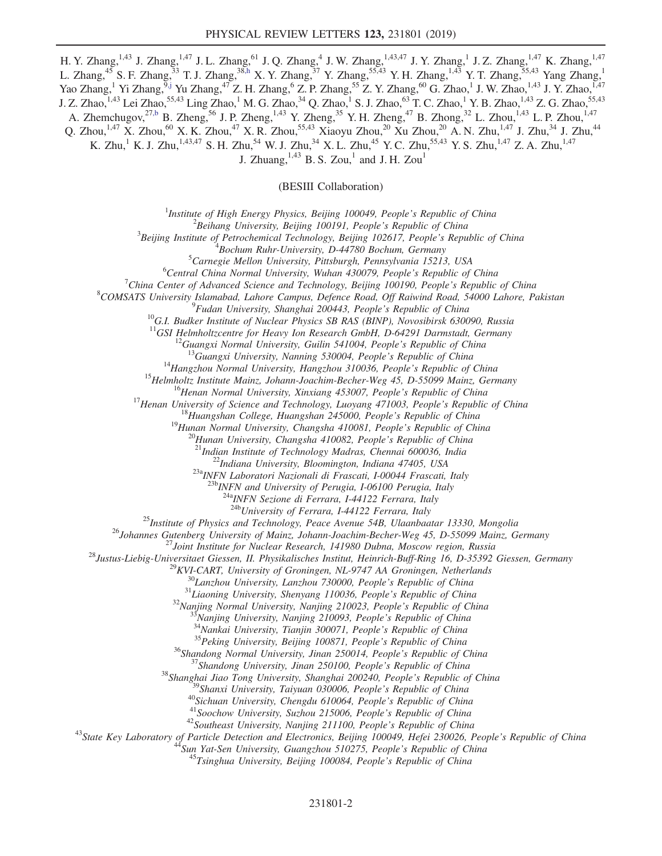H. Y. Zhang,<sup>1,43</sup> J. Zhang,<sup>1,47</sup> J. L. Zhang,<sup>61</sup> J. Q. Zhang,<sup>4</sup> J. W. Zhang,<sup>1,43,47</sup> J. Y. Zhang,<sup>1</sup> J. Z. Zhang,<sup>1,47</sup> K. Zhang,<sup>1,47</sup> L. Zhang,<sup>45</sup> S. F. Zhang,<sup>33</sup> T. J. Zhang,<sup>3[8,h](#page-6-2)</sup> X. Y. Zhang,<sup>37</sup> Y. Zhang,<sup>55,43</sup> Y. H. Zhang,<sup>1,43</sup> Y. T. Zhang,<sup>55,43</sup> Yang Zhang,<sup>1</sup> Yao Zhang,<sup>1</sup> Yi Zhang,<sup>[9,j](#page-6-5)</sup> Yu Zhang,<sup>47</sup> Z. H. Zhang,<sup>6</sup> Z. P. Zhang,<sup>55</sup> Z. Y. Zhang,<sup>60</sup> G. Zhao,<sup>1</sup> J. W. Zhao,<sup>1,43</sup> J. Y. Zhao,<sup>1,47</sup> J. Z. Zhao,<sup>1,43</sup> Lei Zhao,<sup>55,43</sup> Ling Zhao,<sup>1</sup> M. G. Zhao,<sup>34</sup> Q. Zhao,<sup>1</sup> S. J. Zhao,<sup>63</sup> T. C. Zhao,<sup>1</sup> Y. B. Zhao,<sup>1,43</sup> Z. G. Zhao,<sup>55,43</sup> A. Zhemchugov,<sup>2[7,b](#page-6-1)</sup> B. Zheng,<sup>56</sup> J. P. Zheng,<sup>1,43</sup> Y. Zheng,<sup>35</sup> Y. H. Zheng,<sup>47</sup> B. Zhong,<sup>32</sup> L. Zhou,<sup>1,43</sup> L. P. Zhou,<sup>1,47</sup> Q. Zhou,<sup>1,47</sup> X. Zhou,<sup>60</sup> X. K. Zhou,<sup>47</sup> X. R. Zhou,<sup>55,43</sup> Xiaoyu Zhou,<sup>20</sup> Xu Zhou,<sup>20</sup> A. N. Zhu,<sup>1,47</sup> J. Zhu,<sup>34</sup> J. Zhu,<sup>44</sup> K. Zhu,<sup>1</sup> K. J. Zhu,<sup>1,43,47</sup> S. H. Zhu,<sup>54</sup> W. J. Zhu,<sup>34</sup> X. L. Zhu,<sup>45</sup> Y. C. Zhu,<sup>55,43</sup> Y. S. Zhu,<sup>1,47</sup> Z. A. Zhu,<sup>1,47</sup> J. Zhuang,  $^{1,43}$  B. S. Zou,<sup>1</sup> and J. H. Zou<sup>1</sup>

(BESIII Collaboration)

<sup>1</sup>Institute of High Energy Physics, Beijing 100049, People's Republic of China  $\frac{2 \text{Poibang University}}{2}$ 

 ${}^{2}$ Beihang University, Beijing 100191, People's Republic of China

 $3$ Beijing Institute of Petrochemical Technology, Beijing 102617, People's Republic of China

 ${}^{4}$ Bochum Ruhr-University, D-44780 Bochum, Germany

 ${}^{5}$ Carnegie Mellon University, Pittsburgh, Pennsylvania 15213, USA

 ${}^{6}$ Central China Normal University, Wuhan 430079, People's Republic of China

<sup>7</sup>China Center of Advanced Science and Technology, Beijing 100190, People's Republic of China

<sup>8</sup>COMSATS University Islamabad, Lahore Campus, Defence Road, Off Raiwind Road, 54000 Lahore, Pakistan <sup>9</sup>Fudan University, Shanghai 200443, People's Republic of China

<sup>10</sup>G.I. Budker Institute of Nuclear Physics SB RAS (BINP), Novosibirsk 630090, Russia <sup>11</sup>GSI Helmholtzcentre for Heavy Ion Research GmbH, D-64291 Darmstadt, Germany

<sup>11</sup>GSI Helmholtzcentre for Heavy Ion Research GmbH, D-64291 Darmstadt, Germany<br><sup>12</sup>Guangxi Normal University, Guilin 541004, People's Republic of China<br><sup>13</sup>Guangxi University, Nanning 530004, People's Republic of China<br><sup></sup>

 $^{23a}$ INFN Laboratori Nazionali di Frascati, I-00044 Frascati, Italy<br> $^{23b}$ INFN and University of Perugia, I-06100 Perugia, Italy

 $\frac{^{24a}NFN}{^{24b}University}$  of Ferrara, I-44122 Ferrara, Italy  $\frac{^{24b}University}$  of Ferrara, I-44122 Ferrara, Italy

<sup>25</sup>Institute of Physics and Technology, Peace Avenue 54B, Ulaanbaatar 13330, Mongolia<br><sup>26</sup>Iohannes Guenberg University of Mainz, Johann-Joachim-Becker-Weg 45, D-55099 Mainz, Germany<br><sup>26</sup>Iustus-Liebig-Universitate Giessen,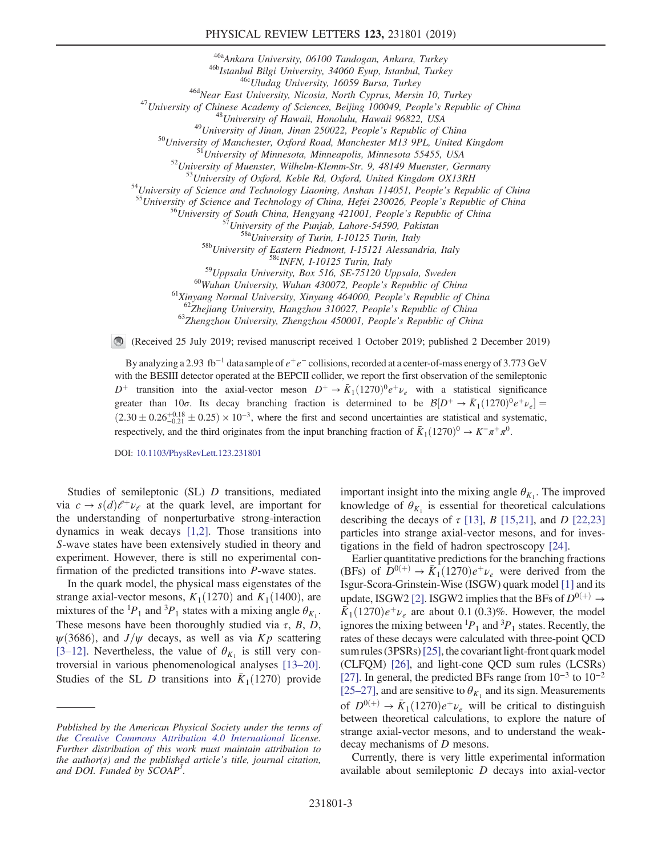<sup>466</sup>Ankara University, 06100 Tandogan, Ankara, Turkey<br>
<sup>466</sup>Mstambil Bilgi University, 34060 Eyup, Istambul, Turkey<br>
<sup>466</sup>Mstambil Bilgi University, 16059 Bursa, Turkey<br>
<sup>466</sup>Mear East University, Nicosia, North Cyprus,

<sup>59</sup>Uppsala University, Box 516, SE-75120 Uppsala, Sweden<br><sup>60</sup>Wuhan University, Wuhan 430072, People's Republic of China<br><sup>61</sup>Xinyang Normal University, Xinyang 464000, People's Republic of China<br><sup>61</sup>Xinyang Normal Univers

 $\bigcirc$ (Received 25 July 2019; revised manuscript received 1 October 2019; published 2 December 2019)

By analyzing a 2.93 fb<sup>-1</sup> data sample of  $e^+e^-$  collisions, recorded at a center-of-mass energy of 3.773 GeV with the BESIII detector operated at the BEPCII collider, we report the first observation of the semileptonic  $D^+$  transition into the axial-vector meson  $D^+ \rightarrow \bar{K}_1(1270)^0 e^+ \nu_e$  with a statistical significance greater than 10 $\sigma$ . Its decay branching fraction is determined to be  $\mathcal{B}[D^+ \to \bar{K}_1(1270)^0 e^+ \nu_e] =$  $(2.30 \pm 0.26_{-0.21}^{+0.18} \pm 0.25) \times 10^{-3}$ , where the first and second uncertainties are statistical and systematic, respectively, and the third originates from the input branching fraction of  $\bar{K}_1(1270)^0 \to K^-\pi^+\pi^0$ .

DOI: [10.1103/PhysRevLett.123.231801](https://doi.org/10.1103/PhysRevLett.123.231801)

Studies of semileptonic (SL) D transitions, mediated via  $c \to s(d)\ell^+\nu_\ell$  at the quark level, are important for the understanding of nonperturbative strong-interaction dynamics in weak decays [\[1,2\].](#page-6-11) Those transitions into S-wave states have been extensively studied in theory and experiment. However, there is still no experimental confirmation of the predicted transitions into P-wave states.

In the quark model, the physical mass eigenstates of the strange axial-vector mesons,  $K_1(1270)$  and  $K_1(1400)$ , are mixtures of the <sup>1</sup> $P_1$  and <sup>3</sup> $P_1$  states with a mixing angle  $\theta_{K_1}$ . These mesons have been thoroughly studied via  $\tau$ , B, D,  $\psi(3686)$ , and  $J/\psi$  decays, as well as via Kp scattering [3–[12\].](#page-6-12) Nevertheless, the value of  $\theta_{K_1}$  is still very controversial in various phenomenological analyses [\[13](#page-6-13)–20]. Studies of the SL D transitions into  $\bar{K}_1(1270)$  provide important insight into the mixing angle  $\theta_{K_1}$ . The improved knowledge of  $\theta_{K_1}$  is essential for theoretical calculations describing the decays of  $\tau$  [\[13\],](#page-6-13) B [\[15,21\],](#page-6-14) and D [\[22,23\]](#page-7-0) particles into strange axial-vector mesons, and for investigations in the field of hadron spectroscopy [\[24\].](#page-7-1)

Earlier quantitative predictions for the branching fractions (BFs) of  $D^{0(+)} \rightarrow \bar{K}_1(1270)e^+\nu_e$  were derived from the Isgur-Scora-Grinstein-Wise (ISGW) quark model [\[1\]](#page-6-11) and its update, ISGW2 [\[2\]](#page-6-15). ISGW2 implies that the BFs of  $D^{0(+)} \rightarrow$  $\bar{K}_1(1270)e^+\nu_e$  are about 0.1 (0.3)%. However, the model ignores the mixing between  ${}^{1}P_1$  and  ${}^{3}P_1$  states. Recently, the rates of these decays were calculated with three-point QCD sum rules (3PSRs) [\[25\]](#page-7-2), the covariant light-front quark model (CLFQM) [\[26\],](#page-7-3) and light-cone QCD sum rules (LCSRs) [\[27\]](#page-7-4). In general, the predicted BFs range from 10<sup>−</sup><sup>3</sup> to 10<sup>−</sup><sup>2</sup> [25–[27\],](#page-7-2) and are sensitive to  $\theta_{K_1}$  and its sign. Measurements of  $D^{0(+)} \rightarrow \bar{K}_1(1270)e^+\nu_e$  will be critical to distinguish between theoretical calculations, to explore the nature of strange axial-vector mesons, and to understand the weakdecay mechanisms of D mesons.

Currently, there is very little experimental information available about semileptonic D decays into axial-vector

Published by the American Physical Society under the terms of the [Creative Commons Attribution 4.0 International](https://creativecommons.org/licenses/by/4.0/) license. Further distribution of this work must maintain attribution to the author(s) and the published article's title, journal citation, and DOI. Funded by SCOAP<sup>3</sup>.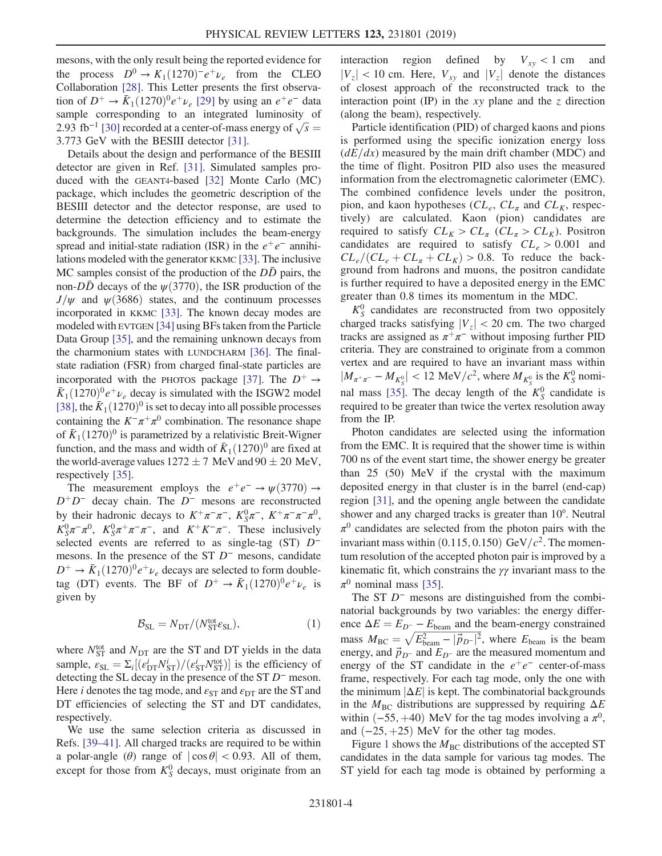mesons, with the only result being the reported evidence for the process  $D^0 \rightarrow K_1(1270)^-e^+\nu_e$  from the CLEO Collaboration [\[28\]](#page-7-5). This Letter presents the first observation of  $D^+ \rightarrow \bar{K}_1(1270)^0 e^+ \nu_e$  [\[29\]](#page-7-6) by using an  $e^+e^-$  data sample corresponding to an integrated luminosity of 2.93 fb<sup>-1</sup> [\[30\]](#page-7-7) recorded at a center-of-mass energy of  $\sqrt{s}$  = 3.773 GeV with the BESIII detector [\[31\]](#page-7-8).

Details about the design and performance of the BESIII detector are given in Ref. [\[31\]](#page-7-8). Simulated samples produced with the GEANT4-based [\[32\]](#page-7-9) Monte Carlo (MC) package, which includes the geometric description of the BESIII detector and the detector response, are used to determine the detection efficiency and to estimate the backgrounds. The simulation includes the beam-energy spread and initial-state radiation (ISR) in the  $e^+e^-$  annihilations modeled with the generator KKMC [\[33\].](#page-7-10) The inclusive MC samples consist of the production of the  $D\bar{D}$  pairs, the non- $D\bar{D}$  decays of the  $\psi(3770)$ , the ISR production of the  $J/\psi$  and  $\psi$ (3686) states, and the continuum processes incorporated in KKMC [\[33\]](#page-7-10). The known decay modes are modeled with EVTGEN [\[34\]](#page-7-11) using BFs taken from the Particle Data Group [\[35\],](#page-7-12) and the remaining unknown decays from the charmonium states with LUNDCHARM [\[36\]](#page-7-13). The finalstate radiation (FSR) from charged final-state particles are incorporated with the PHOTOS package [\[37\].](#page-7-14) The  $D^+ \rightarrow$  $\bar{K}_1(1270)^0e^+\nu_e$  decay is simulated with the ISGW2 model [\[38\]](#page-7-15), the  $\bar{K}_1(1270)^0$  is set to decay into all possible processes containing the  $K^-\pi^+\pi^0$  combination. The resonance shape of  $\bar{K}_1$  (1270)<sup>0</sup> is parametrized by a relativistic Breit-Wigner function, and the mass and width of  $\bar{K}_1(1270)^0$  are fixed at the world-average values  $1272 \pm 7$  MeV and  $90 \pm 20$  MeV, respectively [\[35\]](#page-7-12).

The measurement employs the  $e^+e^- \rightarrow \psi(3770) \rightarrow$  $D^+D^-$  decay chain. The  $D^-$  mesons are reconstructed by their hadronic decays to  $K^+\pi^-\pi^-$ ,  $K_S^0\pi^-$ ,  $K^+\pi^-\pi^-\pi^0$ ,  $K_S^0 \pi^- \pi^0$ ,  $K_S^0 \pi^+ \pi^- \pi^-$ , and  $K^+ K^- \pi^-$ . These inclusively selected events are referred to as single-tag (ST) D<sup>-</sup> mesons. In the presence of the ST  $D^-$  mesons, candidate  $D^+ \rightarrow \bar{K}_1(1270)^0 e^+ \nu_e$  decays are selected to form doubletag (DT) events. The BF of  $D^+ \rightarrow \bar{K}_1(1270)^0 e^+ \nu_e$  is given by

$$
\mathcal{B}_{\text{SL}} = N_{\text{DT}} / (N_{\text{ST}}^{\text{tot}} \varepsilon_{\text{SL}}),\tag{1}
$$

<span id="page-3-0"></span>where  $N_{\text{ST}}^{\text{tot}}$  and  $N_{\text{DT}}$  are the ST and DT yields in the data sample,  $\varepsilon_{\text{SL}} = \Sigma_i [(\varepsilon_{\text{DT}}^i N_{\text{ST}}^i)/(\varepsilon_{\text{ST}}^i N_{\text{ST}}^{\text{tot}})]$  is the efficiency of detecting the SL decay in the presence of the ST D<sup>−</sup> meson. Here *i* denotes the tag mode, and  $\varepsilon_{ST}$  and  $\varepsilon_{DT}$  are the ST and DT efficiencies of selecting the ST and DT candidates, respectively.

We use the same selection criteria as discussed in Refs. [\[39](#page-7-16)–41]. All charged tracks are required to be within a polar-angle ( $\theta$ ) range of  $|\cos \theta|$  < 0.93. All of them, except for those from  $K_S^0$  decays, must originate from an interaction region defined by  $V_{xy} < 1$  cm and  $|V_z|$  < 10 cm. Here,  $V_{xy}$  and  $|V_z|$  denote the distances of closest approach of the reconstructed track to the interaction point (IP) in the  $xy$  plane and the  $z$  direction (along the beam), respectively.

Particle identification (PID) of charged kaons and pions is performed using the specific ionization energy loss  $(dE/dx)$  measured by the main drift chamber (MDC) and the time of flight. Positron PID also uses the measured information from the electromagnetic calorimeter (EMC). The combined confidence levels under the positron, pion, and kaon hypotheses  $CL_e$ ,  $CL_\pi$  and  $CL_K$ , respectively) are calculated. Kaon (pion) candidates are required to satisfy  $CL_K > CL_\pi$  ( $CL_\pi > CL_K$ ). Positron candidates are required to satisfy  $CL_e > 0.001$  and  $CL_e/(CL_e + CL_\pi + CL_K) > 0.8$ . To reduce the background from hadrons and muons, the positron candidate is further required to have a deposited energy in the EMC greater than 0.8 times its momentum in the MDC.

 $K_S^0$  candidates are reconstructed from two oppositely charged tracks satisfying  $|V_z| < 20$  cm. The two charged tracks are assigned as  $\pi^+\pi^-$  without imposing further PID criteria. They are constrained to originate from a common vertex and are required to have an invariant mass within  $|M_{\pi^+\pi^-} - M_{K^0_S}| < 12$  MeV/ $c^2$ , where  $M_{K^0_S}$  is the  $K^0_S$  nomi-nal mass [\[35\].](#page-7-12) The decay length of the  $K_S^0$  candidate is required to be greater than twice the vertex resolution away from the IP.

Photon candidates are selected using the information from the EMC. It is required that the shower time is within 700 ns of the event start time, the shower energy be greater than 25 (50) MeV if the crystal with the maximum deposited energy in that cluster is in the barrel (end-cap) region [\[31\]](#page-7-8), and the opening angle between the candidate shower and any charged tracks is greater than 10°. Neutral  $\pi^0$  candidates are selected from the photon pairs with the invariant mass within  $(0.115, 0.150)$  GeV/ $c<sup>2</sup>$ . The momentum resolution of the accepted photon pair is improved by a kinematic fit, which constrains the  $\gamma\gamma$  invariant mass to the  $\pi^0$  nominal mass [\[35\].](#page-7-12)

The ST  $D^-$  mesons are distinguished from the combinatorial backgrounds by two variables: the energy difference  $\Delta E = E_{D} - E_{\text{beam}}$  and the beam-energy constrained mass  $M_{\text{BC}} = \sqrt{E_{\text{beam}}^2 - |\vec{p}_{D}^2|^2}$ , where  $E_{\text{beam}}$  is the beam energy, and  $\vec{p}_{D}$ - and  $E_{D}$ - are the measured momentum and energy of the ST candidate in the  $e^+e^-$  center-of-mass frame, respectively. For each tag mode, only the one with the minimum  $|\Delta E|$  is kept. The combinatorial backgrounds in the  $M_{BC}$  distributions are suppressed by requiring  $\Delta E$ within  $(-55, +40)$  MeV for the tag modes involving a  $\pi^0$ , and  $(-25, +25)$  MeV for the other tag modes.

Figure [1](#page-4-0) shows the  $M_{\rm BC}$  distributions of the accepted ST candidates in the data sample for various tag modes. The ST yield for each tag mode is obtained by performing a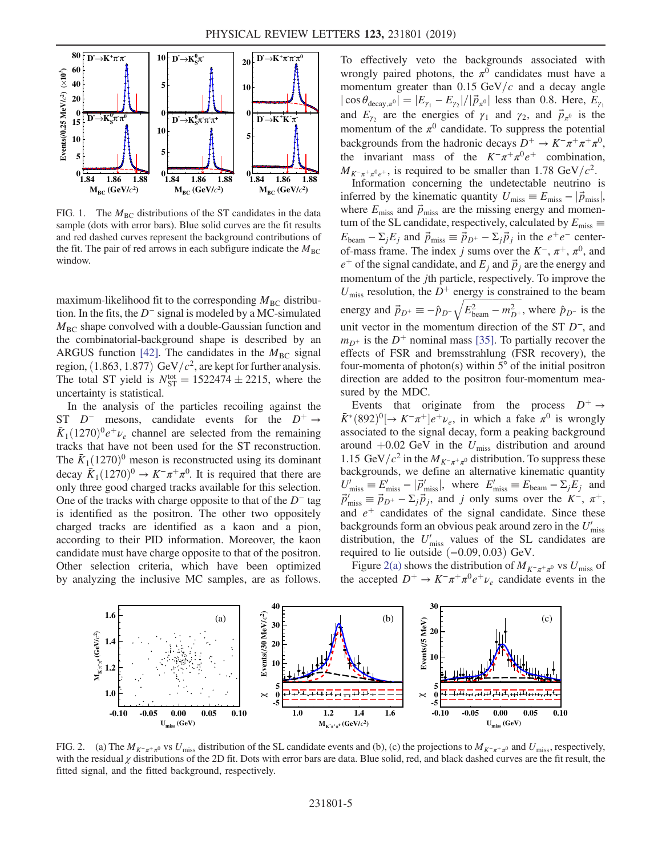<span id="page-4-0"></span>

FIG. 1. The  $M<sub>BC</sub>$  distributions of the ST candidates in the data sample (dots with error bars). Blue solid curves are the fit results and red dashed curves represent the background contributions of the fit. The pair of red arrows in each subfigure indicate the  $M_{BC}$ window.

maximum-likelihood fit to the corresponding  $M_{BC}$  distribution. In the fits, the  $D^-$  signal is modeled by a MC-simulated  $M<sub>BC</sub>$  shape convolved with a double-Gaussian function and the combinatorial-background shape is described by an ARGUS function [\[42\]](#page-7-17). The candidates in the  $M<sub>BC</sub>$  signal region,  $(1.863, 1.877)$  GeV/ $c^2$ , are kept for further analysis. The total ST yield is  $N_{ST}^{tot} = 1522474 \pm 2215$ , where the uncertainty is statistical.

In the analysis of the particles recoiling against the ST  $D^-$  mesons, candidate events for the  $D^+ \rightarrow$  $\bar{K}_1(1270)^0e^+\nu_e$  channel are selected from the remaining tracks that have not been used for the ST reconstruction. The  $\bar{K}_1$  (1270)<sup>0</sup> meson is reconstructed using its dominant decay  $\bar{K}_1(1270)^0 \to K^-\pi^+\pi^0$ . It is required that there are only three good charged tracks available for this selection. One of the tracks with charge opposite to that of the  $D^-$  tag is identified as the positron. The other two oppositely charged tracks are identified as a kaon and a pion, according to their PID information. Moreover, the kaon candidate must have charge opposite to that of the positron. Other selection criteria, which have been optimized by analyzing the inclusive MC samples, are as follows. To effectively veto the backgrounds associated with wrongly paired photons, the  $\pi^0$  candidates must have a momentum greater than  $0.15 \text{ GeV}/c$  and a decay angle  $|\cos \theta_{\text{decay},\pi^0}| = |E_{\gamma_1} - E_{\gamma_2}|/|\vec{p}_{\pi^0}|$  less than 0.8. Here,  $E_{\gamma_1}$ and  $E_{\gamma_2}$  are the energies of  $\gamma_1$  and  $\gamma_2$ , and  $\vec{p}_{\pi^0}$  is the momentum of the  $\pi^0$  candidate. To suppress the potential backgrounds from the hadronic decays  $D^+ \to K^-\pi^+\pi^+\pi^0$ , the invariant mass of the  $K^-\pi^+\pi^0e^+$  combination,  $M_{K^-\pi^+\pi^0\rho^+}$ , is required to be smaller than 1.78 GeV/ $c^2$ .

Information concerning the undetectable neutrino is inferred by the kinematic quantity  $U_{\text{miss}} \equiv E_{\text{miss}} - |\vec{p}_{\text{miss}}|$ , where  $E_{\text{miss}}$  and  $\vec{p}_{\text{miss}}$  are the missing energy and momentum of the SL candidate, respectively, calculated by  $E_{\rm miss}$   $\equiv$  $E_{\text{beam}} - \Sigma_i E_i$  and  $\vec{p}_{\text{miss}} \equiv \vec{p}_{D^+} - \Sigma_i \vec{p}_i$  in the  $e^+e^-$  centerof-mass frame. The index j sums over the  $K^-$ ,  $\pi^+$ ,  $\pi^0$ , and  $e^+$  of the signal candidate, and  $E_j$  and  $\vec{p}_j$  are the energy and momentum of the jth particle, respectively. To improve the  $U_{\text{miss}}$  resolution, the  $D^+$  energy is constrained to the beam energy and  $\vec{p}_{D^+} \equiv -\hat{p}_{D^-} \sqrt{E_{\text{beam}}^2 - m_{D^+}^2}$ , where  $\hat{p}_{D^-}$  is the unit vector in the momentum direction of the ST  $D^-$ , and  $m_{D^+}$  is the  $D^+$  nominal mass [\[35\]](#page-7-12). To partially recover the effects of FSR and bremsstrahlung (FSR recovery), the four-momenta of photon(s) within  $5^{\circ}$  of the initial positron direction are added to the positron four-momentum measured by the MDC.

Events that originate from the process  $D^+ \rightarrow$  $\bar{K}^*(892)^0$   $\rightarrow$   $K^-\pi^+$   $\left|e^+\nu_e\right|$ , in which a fake  $\pi^0$  is wrongly associated to the signal decay, form a peaking background around  $+0.02$  GeV in the  $U_{\text{miss}}$  distribution and around 1.15 GeV/ $c^2$  in the  $M_{K^-\pi^+\pi^0}$  distribution. To suppress these backgrounds, we define an alternative kinematic quantity  $U'_{\text{miss}} \equiv E'_{\text{miss}} - |\vec{p}'_{\text{miss}}|$ , where  $E'_{\text{miss}} \equiv E_{\text{beam}} - \Sigma_j E_j$  and  $\vec{p}'_{\text{miss}} \equiv \vec{p}_{D^+} - \Sigma_j \vec{p}_j$ , and j only sums over the  $K^-$ ,  $\pi^+$ , and  $e^+$  candidates of the signal candidate. Since these backgrounds form an obvious peak around zero in the  $U'_{\text{miss}}$ distribution, the  $U'_{\text{miss}}$  values of the SL candidates are required to lie outside  $(-0.09, 0.03)$  GeV.

Figure [2\(a\)](#page-4-1) shows the distribution of  $M_{K^-\pi^+\pi^0}$  vs  $U_{\text{miss}}$  of the accepted  $D^+ \to K^-\pi^+\pi^0 e^+\nu_e$  candidate events in the

<span id="page-4-1"></span>

FIG. 2. (a) The  $M_{K^-\pi^+\pi^0}$  vs  $U_{\text{miss}}$  distribution of the SL candidate events and (b), (c) the projections to  $M_{K^-\pi^+\pi^0}$  and  $U_{\text{miss}}$ , respectively, with the residual  $\chi$  distributions of the 2D fit. Dots with error bars are data. Blue solid, red, and black dashed curves are the fit result, the fitted signal, and the fitted background, respectively.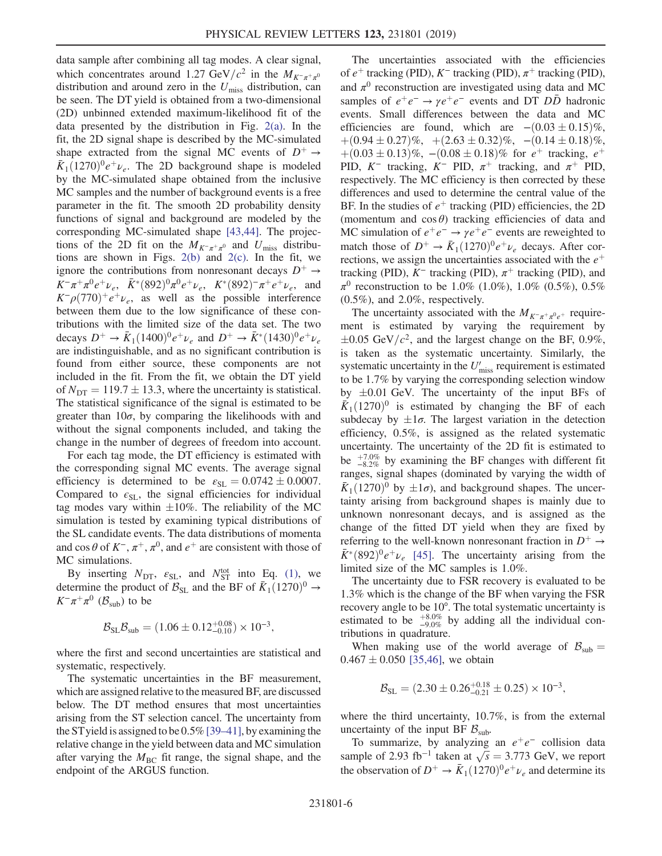data sample after combining all tag modes. A clear signal, which concentrates around 1.27 GeV/ $c^2$  in the  $M_{K^-\pi^+\pi^0}$ distribution and around zero in the  $U_{\text{miss}}$  distribution, can be seen. The DT yield is obtained from a two-dimensional (2D) unbinned extended maximum-likelihood fit of the data presented by the distribution in Fig. [2\(a\).](#page-4-1) In the fit, the 2D signal shape is described by the MC-simulated shape extracted from the signal MC events of  $D^+ \rightarrow$  $\bar{K}_1(1270)^0e^+\nu_e$ . The 2D background shape is modeled by the MC-simulated shape obtained from the inclusive MC samples and the number of background events is a free parameter in the fit. The smooth 2D probability density functions of signal and background are modeled by the corresponding MC-simulated shape [\[43,44\].](#page-7-18) The projections of the 2D fit on the  $M_{K^-\pi^+\pi^0}$  and  $U_{\text{miss}}$  distributions are shown in Figs.  $2(b)$  and  $2(c)$ . In the fit, we ignore the contributions from nonresonant decays  $D^+ \rightarrow$  $K^-\pi^+\pi^0e^+\nu_e$ ,  $\bar{K}^*(892)^0\pi^0e^+\nu_e$ ,  $K^*(892)^-\pi^+e^+\nu_e$ , and  $K^-\rho(770)^+e^+\nu_e$ , as well as the possible interference between them due to the low significance of these contributions with the limited size of the data set. The two decays  $D^+ \to \bar{K}_1 (1400)^0 e^+ \nu_e$  and  $D^+ \to \bar{K}^* (1430)^0 e^+ \nu_e$ are indistinguishable, and as no significant contribution is found from either source, these components are not included in the fit. From the fit, we obtain the DT yield of  $N_{\text{DT}} = 119.7 \pm 13.3$ , where the uncertainty is statistical. The statistical significance of the signal is estimated to be greater than  $10\sigma$ , by comparing the likelihoods with and without the signal components included, and taking the change in the number of degrees of freedom into account.

For each tag mode, the DT efficiency is estimated with the corresponding signal MC events. The average signal efficiency is determined to be  $\varepsilon_{SL} = 0.0742 \pm 0.0007$ . Compared to  $\epsilon_{SL}$ , the signal efficiencies for individual tag modes vary within  $\pm 10\%$ . The reliability of the MC simulation is tested by examining typical distributions of the SL candidate events. The data distributions of momenta and cos  $\theta$  of  $K^-$ ,  $\pi^+$ ,  $\pi^0$ , and  $e^+$  are consistent with those of MC simulations.

By inserting  $N_{\text{DT}}$ ,  $\varepsilon_{\text{SL}}$ , and  $N_{\text{ST}}^{\text{tot}}$  into Eq. [\(1\),](#page-3-0) we determine the product of  $\mathcal{B}_{SL}$  and the BF of  $\bar{K}_1(1270)^0 \rightarrow$  $K^-\pi^+\pi^0$  ( $\mathcal{B}_{\text{sub}}$ ) to be

$$
\mathcal{B}_{\rm SL} \mathcal{B}_{\rm sub} = (1.06 \pm 0.12^{+0.08}_{-0.10}) \times 10^{-3},
$$

where the first and second uncertainties are statistical and systematic, respectively.

The systematic uncertainties in the BF measurement, which are assigned relative to the measured BF, are discussed below. The DT method ensures that most uncertainties arising from the ST selection cancel. The uncertainty from the STyield is assigned to be 0.5% [\[39](#page-7-16)–41], by examining the relative change in the yield between data and MC simulation after varying the  $M<sub>BC</sub>$  fit range, the signal shape, and the endpoint of the ARGUS function.

The uncertainties associated with the efficiencies of  $e^+$  tracking (PID), K<sup>−</sup> tracking (PID),  $\pi^+$  tracking (PID), and  $\pi^0$  reconstruction are investigated using data and MC samples of  $e^+e^- \rightarrow \gamma e^+e^-$  events and DT DD<sup>†</sup> hadronic events. Small differences between the data and MC efficiencies are found, which are  $-(0.03 \pm 0.15)\%$ ,  $+(0.94 \pm 0.27)\%, + (2.63 \pm 0.32)\%, - (0.14 \pm 0.18)\%,$  $+(0.03 \pm 0.13)\%$ , − $(0.08 \pm 0.18)\%$  for  $e^+$  tracking,  $e^+$ PID, K<sup>-</sup> tracking, K<sup>-</sup> PID,  $\pi$ <sup>+</sup> tracking, and  $\pi$ <sup>+</sup> PID, respectively. The MC efficiency is then corrected by these differences and used to determine the central value of the BF. In the studies of  $e^+$  tracking (PID) efficiencies, the 2D (momentum and  $\cos \theta$ ) tracking efficiencies of data and MC simulation of  $e^+e^- \rightarrow \gamma e^+e^-$  events are reweighted to match those of  $D^+ \to \bar{K}_1(1270)^0 e^+ \nu_e$  decays. After corrections, we assign the uncertainties associated with the  $e^+$ tracking (PID),  $K^-$  tracking (PID),  $\pi^+$  tracking (PID), and  $\pi^0$  reconstruction to be 1.0% (1.0%), 1.0% (0.5%), 0.5%  $(0.5\%)$ , and  $2.0\%$ , respectively.

The uncertainty associated with the  $M_{K^-\pi^+\pi^0e^+}$  requirement is estimated by varying the requirement by  $\pm 0.05$  GeV/ $c^2$ , and the largest change on the BF, 0.9%, is taken as the systematic uncertainty. Similarly, the systematic uncertainty in the  $U'_{\text{miss}}$  requirement is estimated to be 1.7% by varying the corresponding selection window by  $\pm 0.01$  GeV. The uncertainty of the input BFs of  $\bar{K}_1$  (1270)<sup>0</sup> is estimated by changing the BF of each subdecay by  $\pm 1\sigma$ . The largest variation in the detection efficiency, 0.5%, is assigned as the related systematic uncertainty. The uncertainty of the 2D fit is estimated to be  $\frac{+7.0\%}{-8.2\%}$  by examining the BF changes with different fit ranges, signal shapes (dominated by varying the width of  $\bar{K}_1(1270)^0$  by  $\pm 1\sigma$ ), and background shapes. The uncertainty arising from background shapes is mainly due to unknown nonresonant decays, and is assigned as the change of the fitted DT yield when they are fixed by referring to the well-known nonresonant fraction in  $D^+ \rightarrow$  $\bar{K}^*(892)^0e^+\nu_e$  [\[45\]](#page-7-19). The uncertainty arising from the limited size of the MC samples is 1.0%.

The uncertainty due to FSR recovery is evaluated to be 1.3% which is the change of the BF when varying the FSR recovery angle to be 10°. The total systematic uncertainty is estimated to be  $^{+8.0\%}_{-9.0\%}$  by adding all the individual contributions in quadrature.

When making use of the world average of  $B_{sub}$  =  $0.467 \pm 0.050$  [\[35,46\],](#page-7-12) we obtain

$$
\mathcal{B}_{SL} = (2.30 \pm 0.26^{+0.18}_{-0.21} \pm 0.25) \times 10^{-3},
$$

where the third uncertainty, 10.7%, is from the external uncertainty of the input BF  $B_{sub}$ .

To summarize, by analyzing an  $e^+e^-$  collision data sample of 2.93 fb<sup>-1</sup> taken at  $\sqrt{s} = 3.773$  GeV, we report the observation of  $D^+ \to \bar{K}_1(1270)^0 e^+ \nu_e$  and determine its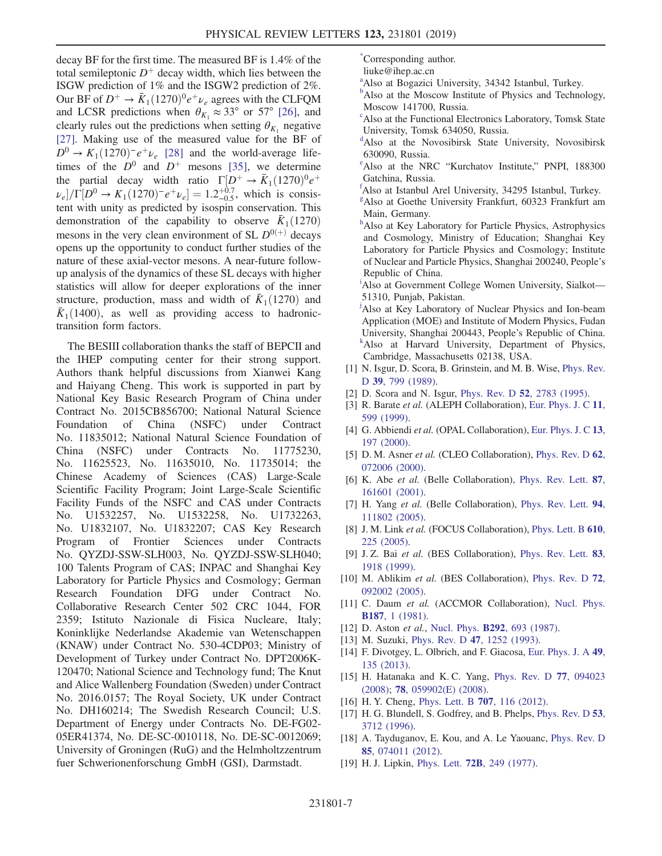decay BF for the first time. The measured BF is 1.4% of the total semileptonic  $D^+$  decay width, which lies between the ISGW prediction of 1% and the ISGW2 prediction of 2%. Our BF of  $D^+ \rightarrow \bar{K}_1(1270)^0 e^+ \nu_e$  agrees with the CLFQM and LCSR predictions when  $\theta_{K_1} \approx 33^\circ$  or 57° [\[26\],](#page-7-3) and clearly rules out the predictions when setting  $\theta_{K_1}$  negative [\[27\]](#page-7-4). Making use of the measured value for the BF of  $D^0 \rightarrow K_1(1270)^-e^+\nu_e$  [\[28\]](#page-7-5) and the world-average lifetimes of the  $D^0$  and  $D^+$  mesons [\[35\],](#page-7-12) we determine the partial decay width ratio  $\Gamma[D^+ \to \bar{K}_1(1270)^0 e^+$  $\nu_e$ ]/ $\Gamma[D^0 \to K_1(1270)^- e^+ \nu_e] = 1.2^{+0.7}_{-0.5}$ , which is consistent with unity as predicted by isospin conservation. This demonstration of the capability to observe  $\bar{K}_1(1270)$ mesons in the very clean environment of SL  $D^{0(+)}$  decays opens up the opportunity to conduct further studies of the nature of these axial-vector mesons. A near-future followup analysis of the dynamics of these SL decays with higher statistics will allow for deeper explorations of the inner structure, production, mass and width of  $\bar{K}_1(1270)$  and  $\bar{K}_1(1400)$ , as well as providing access to hadronictransition form factors.

The BESIII collaboration thanks the staff of BEPCII and the IHEP computing center for their strong support. Authors thank helpful discussions from Xianwei Kang and Haiyang Cheng. This work is supported in part by National Key Basic Research Program of China under Contract No. 2015CB856700; National Natural Science Foundation of China (NSFC) under Contract No. 11835012; National Natural Science Foundation of China (NSFC) under Contracts No. 11775230, No. 11625523, No. 11635010, No. 11735014; the Chinese Academy of Sciences (CAS) Large-Scale Scientific Facility Program; Joint Large-Scale Scientific Facility Funds of the NSFC and CAS under Contracts No. U1532257, No. U1532258, No. U1732263, No. U1832107, No. U1832207; CAS Key Research Program of Frontier Sciences under Contracts No. QYZDJ-SSW-SLH003, No. QYZDJ-SSW-SLH040; 100 Talents Program of CAS; INPAC and Shanghai Key Laboratory for Particle Physics and Cosmology; German Research Foundation DFG under Contract No. Collaborative Research Center 502 CRC 1044, FOR 2359; Istituto Nazionale di Fisica Nucleare, Italy; Koninklijke Nederlandse Akademie van Wetenschappen (KNAW) under Contract No. 530-4CDP03; Ministry of Development of Turkey under Contract No. DPT2006K-120470; National Science and Technology fund; The Knut and Alice Wallenberg Foundation (Sweden) under Contract No. 2016.0157; The Royal Society, UK under Contract No. DH160214; The Swedish Research Council; U.S. Department of Energy under Contracts No. DE-FG02- 05ER41374, No. DE-SC-0010118, No. DE-SC-0012069; University of Groningen (RuG) and the Helmholtzzentrum fuer Schwerionenforschung GmbH (GSI), Darmstadt.

<span id="page-6-6"></span>[\\*](#page-0-0) Corresponding author.

- liuke@ihep.ac.cn
- <span id="page-6-10"></span>[a](#page-0-1) Also at Bogazici University, 34342 Istanbul, Turkey.
- <span id="page-6-1"></span><sup>[b](#page-0-2)</sup>Also at the Moscow Institute of Physics and Technology, Moscow 141700, Russia.
- c Also at the Functional Electronics Laboratory, Tomsk State University, Tomsk 634050, Russia.
- <span id="page-6-0"></span>[d](#page-0-3) Also at the Novosibirsk State University, Novosibirsk 630090, Russia.
- <span id="page-6-9"></span><sup>[e](#page-0-4)</sup>Also at the NRC "Kurchatov Institute," PNPI, 188300 Gatchina, Russia.
- <span id="page-6-4"></span>[f](#page-0-5) Also at Istanbul Arel University, 34295 Istanbul, Turkey.
- <span id="page-6-3"></span>[g](#page-0-6) Also at Goethe University Frankfurt, 60323 Frankfurt am Main, Germany.
- <span id="page-6-2"></span>[h](#page-0-7)Also at Key Laboratory for Particle Physics, Astrophysics and Cosmology, Ministry of Education; Shanghai Key Laboratory for Particle Physics and Cosmology; Institute of Nuclear and Particle Physics, Shanghai 200240, People's Republic of China.

<span id="page-6-8"></span><sup>[i](#page-0-8)</sup>Also at Government College Women University, Sialkot-51310, Punjab, Pakistan.

<span id="page-6-5"></span><sup>[j](#page-0-9)</sup>Also at Key Laboratory of Nuclear Physics and Ion-beam Application (MOE) and Institute of Modern Physics, Fudan University, Shanghai 200443, People's Republic of China. [k](#page-0-3) <sup>k</sup>Also at Harvard University, Department of Physics, Cambridge, Massachusetts 02138, USA.

- <span id="page-6-11"></span><span id="page-6-7"></span>[1] N. Isgur, D. Scora, B. Grinstein, and M. B. Wise, [Phys. Rev.](https://doi.org/10.1103/PhysRevD.39.799) D 39[, 799 \(1989\).](https://doi.org/10.1103/PhysRevD.39.799)
- <span id="page-6-15"></span>[2] D. Scora and N. Isgur, *Phys. Rev. D* **52**[, 2783 \(1995\)](https://doi.org/10.1103/PhysRevD.52.2783).
- <span id="page-6-12"></span>[3] R. Barate et al. (ALEPH Collaboration), [Eur. Phys. J. C](https://doi.org/10.1007/s100529900208) 11, [599 \(1999\)](https://doi.org/10.1007/s100529900208).
- [4] G. Abbiendi et al. (OPAL Collaboration), [Eur. Phys. J. C](https://doi.org/10.1007/s100520000272) 13, [197 \(2000\)](https://doi.org/10.1007/s100520000272).
- [5] D. M. Asner et al. (CLEO Collaboration), [Phys. Rev. D](https://doi.org/10.1103/PhysRevD.62.072006) 62, [072006 \(2000\).](https://doi.org/10.1103/PhysRevD.62.072006)
- [6] K. Abe et al. (Belle Collaboration), [Phys. Rev. Lett.](https://doi.org/10.1103/PhysRevLett.87.161601) 87, [161601 \(2001\).](https://doi.org/10.1103/PhysRevLett.87.161601)
- [7] H. Yang et al. (Belle Collaboration), [Phys. Rev. Lett.](https://doi.org/10.1103/PhysRevLett.94.111802) 94, [111802 \(2005\).](https://doi.org/10.1103/PhysRevLett.94.111802)
- [8] J. M. Link et al. (FOCUS Collaboration), [Phys. Lett. B](https://doi.org/10.1016/j.physletb.2005.02.005) 610, [225 \(2005\)](https://doi.org/10.1016/j.physletb.2005.02.005).
- [9] J. Z. Bai et al. (BES Collaboration), [Phys. Rev. Lett.](https://doi.org/10.1103/PhysRevLett.83.1918) 83, [1918 \(1999\)](https://doi.org/10.1103/PhysRevLett.83.1918).
- [10] M. Ablikim et al. (BES Collaboration), [Phys. Rev. D](https://doi.org/10.1103/PhysRevD.72.092002) 72, [092002 \(2005\).](https://doi.org/10.1103/PhysRevD.72.092002)
- [11] C. Daum et al. (ACCMOR Collaboration), [Nucl. Phys.](https://doi.org/10.1016/0550-3213(81)90114-0) B187[, 1 \(1981\)](https://doi.org/10.1016/0550-3213(81)90114-0).
- <span id="page-6-13"></span>[12] D. Aston et al., Nucl. Phys. **B292**[, 693 \(1987\).](https://doi.org/10.1016/0550-3213(87)90665-1)
- [13] M. Suzuki, Phys. Rev. D 47[, 1252 \(1993\).](https://doi.org/10.1103/PhysRevD.47.1252)
- <span id="page-6-14"></span>[14] F. Divotgey, L. Olbrich, and F. Giacosa, [Eur. Phys. J. A](https://doi.org/10.1140/epja/i2013-13135-3) 49, [135 \(2013\)](https://doi.org/10.1140/epja/i2013-13135-3).
- [15] H. Hatanaka and K.C. Yang, [Phys. Rev. D](https://doi.org/10.1103/PhysRevD.77.094023) 77, 094023 [\(2008\);](https://doi.org/10.1103/PhysRevD.77.094023) 78[, 059902\(E\) \(2008\).](https://doi.org/10.1103/PhysRevD.78.059902)
- [16] H. Y. Cheng, [Phys. Lett. B](https://doi.org/10.1016/j.physletb.2011.12.013) **707**, 116 (2012).
- [17] H. G. Blundell, S. Godfrey, and B. Phelps, [Phys. Rev. D](https://doi.org/10.1103/PhysRevD.53.3712) 53, [3712 \(1996\)](https://doi.org/10.1103/PhysRevD.53.3712).
- [18] A. Tayduganov, E. Kou, and A. Le Yaouanc, [Phys. Rev. D](https://doi.org/10.1103/PhysRevD.85.074011) 85[, 074011 \(2012\).](https://doi.org/10.1103/PhysRevD.85.074011)
- [19] H.J. Lipkin, Phys. Lett. **72B**[, 249 \(1977\)](https://doi.org/10.1016/0370-2693(77)90714-6).